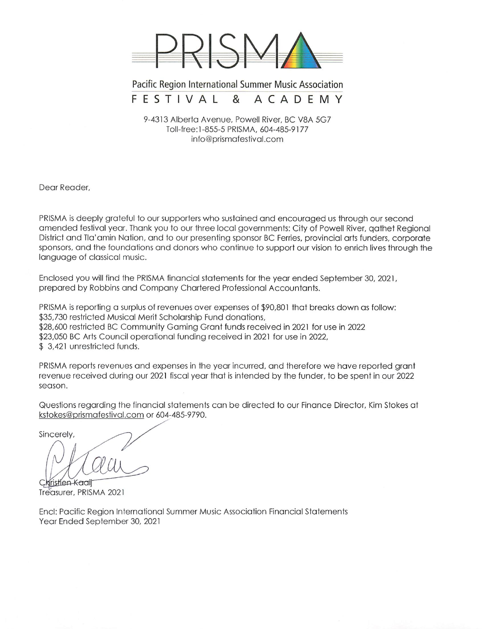

Pacific Region International Summer Music Association FESTIVAL & ACADEMY

9-4313 Alberta Avenue, Powell River, BC V8A 5G7 Toll-free:1-855-5 PRISMA, 604-485-9177 info@prismafestival.com

Dear Reader.

PRISMA is deeply grateful to our supporters who sustained and encouraged us through our second amended festival year. Thank you to our three local governments: City of Powell River, gathet Regional District and Tla'amin Nation, and to our presenting sponsor BC Ferries, provincial arts funders, corporate sponsors, and the foundations and donors who continue to support our vision to enrich lives through the language of classical music.

Enclosed you will find the PRISMA financial statements for the year ended September 30, 2021, prepared by Robbins and Company Chartered Professional Accountants.

PRISMA is reporting a surplus of revenues over expenses of \$90,801 that breaks down as follow: \$35,730 restricted Musical Merit Scholarship Fund donations, \$28,600 restricted BC Community Gaming Grant funds received in 2021 for use in 2022 \$23,050 BC Arts Council operational funding received in 2021 for use in 2022, \$3,421 unrestricted funds.

PRISMA reports revenues and expenses in the year incurred, and therefore we have reported grant revenue received during our 2021 fiscal year that is intended by the funder, to be spent in our 2022 season.

Questions regarding the financial statements can be directed to our Finance Director, Kim Stokes at kstokes@prismafestival.com or 604-485-9790.

Sincerely,

kristien Kaail Treasurer, PRISMA 2021

Encl: Pacific Region International Summer Music Association Financial Statements Year Ended September 30, 2021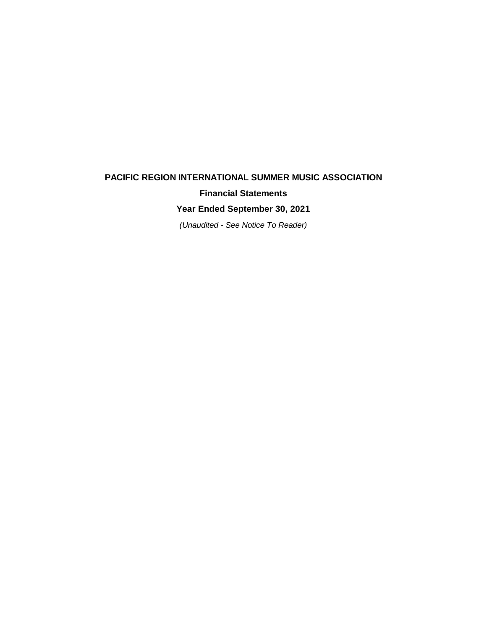# **PACIFIC REGION INTERNATIONAL SUMMER MUSIC ASSOCIATION Financial Statements**

**Year Ended September 30, 2021**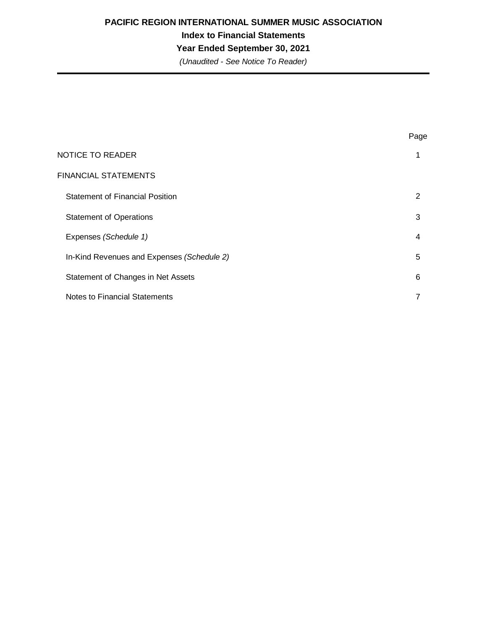**Index to Financial Statements**

**Year Ended September 30, 2021**

|                                            | Page |
|--------------------------------------------|------|
| <b>NOTICE TO READER</b>                    | 1    |
| <b>FINANCIAL STATEMENTS</b>                |      |
| <b>Statement of Financial Position</b>     | 2    |
| <b>Statement of Operations</b>             | 3    |
| Expenses (Schedule 1)                      | 4    |
| In-Kind Revenues and Expenses (Schedule 2) | 5    |
| Statement of Changes in Net Assets         | 6    |
| Notes to Financial Statements              | 7    |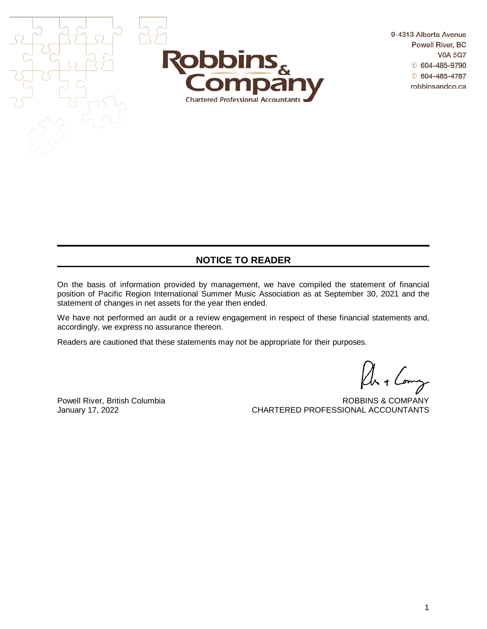

9-4313 Alberta Avenue **Powell River, BC V8A 5G7**  $t$  604-485-9790  $604 - 485 - 4787$ robbinsandco.ca

## **NOTICE TO READER**

On the basis of information provided by management, we have compiled the statement of financial position of Pacific Region International Summer Music Association as at September 30, 2021 and the statement of changes in net assets for the year then ended.

We have not performed an audit or a review engagement in respect of these financial statements and, accordingly, we express no assurance thereon.

Readers are cautioned that these statements may not be appropriate for their purposes.

Powell River, British Columbia<br>
January 17, 2022<br>
CHARTERED PROFESSIONAL ACCOUNTANTS CHARTERED PROFESSIONAL ACCOUNTANTS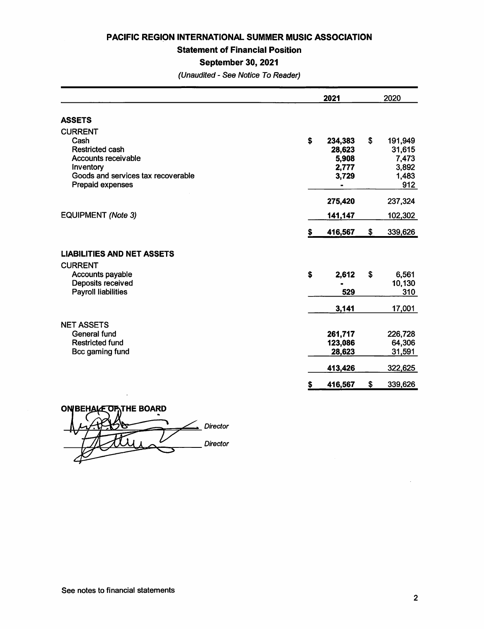**Statement of Financial Position** 

### **September 30, 2021**

|                                    | 2021          | 2020          |  |  |
|------------------------------------|---------------|---------------|--|--|
| <b>ASSETS</b>                      |               |               |  |  |
| <b>CURRENT</b>                     |               |               |  |  |
| Cash                               | \$<br>234,383 | \$<br>191,949 |  |  |
| <b>Restricted cash</b>             | 28,623        | 31,615        |  |  |
| <b>Accounts receivable</b>         | 5,908         | 7,473         |  |  |
| Inventory                          | 2,777         | 3,892         |  |  |
| Goods and services tax recoverable | 3,729         | 1,483         |  |  |
| Prepaid expenses                   |               | 912           |  |  |
|                                    | 275,420       | 237,324       |  |  |
| <b>EQUIPMENT (Note 3)</b>          | 141,147       | 102,302       |  |  |
|                                    | \$<br>416,567 | \$<br>339,626 |  |  |
| <b>LIABILITIES AND NET ASSETS</b>  |               |               |  |  |
| <b>CURRENT</b>                     |               |               |  |  |
| Accounts payable                   | \$<br>2,612   | \$<br>6,561   |  |  |
| Deposits received                  |               | 10,130        |  |  |
| <b>Payroll liabilities</b>         | 529           | 310           |  |  |
|                                    | 3,141         | 17,001        |  |  |
| <b>NET ASSETS</b>                  |               |               |  |  |
| <b>General fund</b>                | 261,717       | 226,728       |  |  |
| <b>Restricted fund</b>             | 123,086       | 64,306        |  |  |
| Bcc gaming fund                    | 28,623        | 31,591        |  |  |
|                                    | 413,426       | 322,625       |  |  |
|                                    | \$<br>416,567 | \$<br>339,626 |  |  |

**ON BEHALE OF THE BOARD**  $\subseteq$  Director Director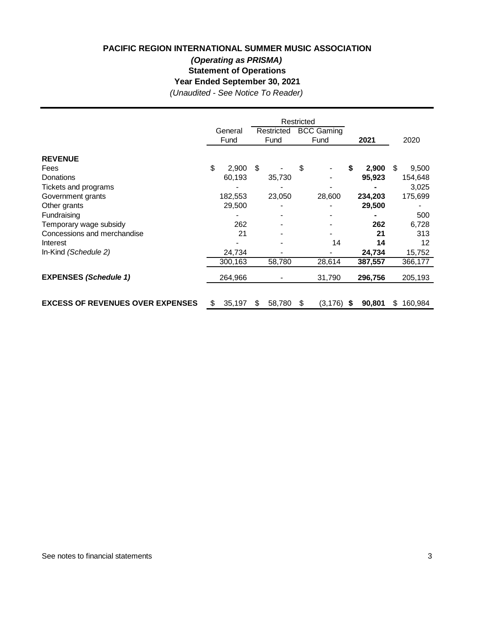## **PACIFIC REGION INTERNATIONAL SUMMER MUSIC ASSOCIATION (Operating as PRISMA)**

**Statement of Operations**

**Year Ended September 30, 2021**

|                                         | Restricted<br><b>BCC Gaming</b><br>Restricted<br>General<br>Fund<br>Fund<br>Fund |         |    |        | 2021 | 2020     |              |               |  |
|-----------------------------------------|----------------------------------------------------------------------------------|---------|----|--------|------|----------|--------------|---------------|--|
|                                         |                                                                                  |         |    |        |      |          |              |               |  |
| <b>REVENUE</b>                          |                                                                                  |         |    |        |      |          |              |               |  |
| Fees                                    | \$                                                                               | 2,900   | \$ |        | \$   |          | 2,900        | \$.<br>9,500  |  |
| Donations                               |                                                                                  | 60,193  |    | 35,730 |      |          | 95,923       | 154,648       |  |
| Tickets and programs                    |                                                                                  |         |    |        |      |          |              | 3,025         |  |
| Government grants                       |                                                                                  | 182,553 |    | 23,050 |      | 28,600   | 234,203      | 175,699       |  |
| Other grants                            |                                                                                  | 29,500  |    |        |      |          | 29,500       |               |  |
| Fundraising                             |                                                                                  |         |    |        |      |          |              | 500           |  |
| Temporary wage subsidy                  |                                                                                  | 262     |    |        |      |          | 262          | 6,728         |  |
| Concessions and merchandise             |                                                                                  | 21      |    |        |      |          | 21           | 313           |  |
| Interest                                |                                                                                  |         |    |        |      | 14       | 14           | 12            |  |
| In-Kind (Schedule 2)                    |                                                                                  | 24,734  |    |        |      |          | 24,734       | 15,752        |  |
|                                         |                                                                                  | 300,163 |    | 58,780 |      | 28,614   | 387,557      | 366,177       |  |
| <b>EXPENSES (Schedule 1)</b>            |                                                                                  | 264,966 |    |        |      | 31,790   | 296,756      | 205,193       |  |
|                                         |                                                                                  |         |    |        |      |          |              |               |  |
| <b>EXCESS OF REVENUES OVER EXPENSES</b> | \$                                                                               | 35,197  | S  | 58,780 | S.   | (3, 176) | \$<br>90,801 | \$<br>160,984 |  |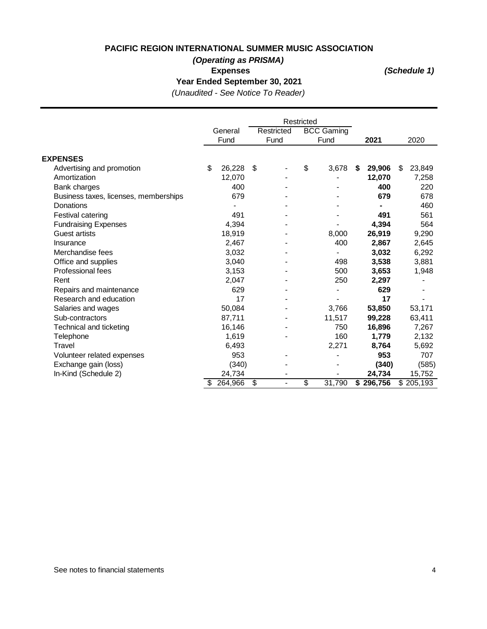## **(Operating as PRISMA)**

 **Expenses**

**(Schedule 1)**

**Year Ended September 30, 2021**

|                                       | Restricted |         |    |                          |                   |        |    |           |              |
|---------------------------------------|------------|---------|----|--------------------------|-------------------|--------|----|-----------|--------------|
|                                       |            | General |    | Restricted               | <b>BCC Gaming</b> |        |    |           |              |
|                                       | Fund       |         |    | Fund                     |                   | Fund   |    | 2021      | 2020         |
|                                       |            |         |    |                          |                   |        |    |           |              |
| <b>EXPENSES</b>                       |            |         |    |                          |                   |        |    |           |              |
| Advertising and promotion             | \$         | 26,228  | \$ |                          | \$                | 3,678  | \$ | 29,906    | \$<br>23,849 |
| Amortization                          |            | 12,070  |    |                          |                   |        |    | 12,070    | 7,258        |
| Bank charges                          |            | 400     |    |                          |                   |        |    | 400       | 220          |
| Business taxes, licenses, memberships |            | 679     |    |                          |                   |        |    | 679       | 678          |
| Donations                             |            |         |    |                          |                   |        |    |           | 460          |
| Festival catering                     |            | 491     |    |                          |                   |        |    | 491       | 561          |
| <b>Fundraising Expenses</b>           |            | 4,394   |    |                          |                   |        |    | 4,394     | 564          |
| <b>Guest artists</b>                  |            | 18,919  |    |                          |                   | 8,000  |    | 26,919    | 9,290        |
| Insurance                             |            | 2,467   |    |                          |                   | 400    |    | 2,867     | 2,645        |
| Merchandise fees                      |            | 3,032   |    |                          |                   |        |    | 3,032     | 6,292        |
| Office and supplies                   |            | 3,040   |    |                          |                   | 498    |    | 3,538     | 3,881        |
| Professional fees                     |            | 3,153   |    |                          |                   | 500    |    | 3,653     | 1,948        |
| Rent                                  |            | 2,047   |    |                          |                   | 250    |    | 2,297     |              |
| Repairs and maintenance               |            | 629     |    |                          |                   |        |    | 629       |              |
| Research and education                |            | 17      |    |                          |                   |        |    | 17        |              |
| Salaries and wages                    |            | 50,084  |    |                          |                   | 3,766  |    | 53,850    | 53,171       |
| Sub-contractors                       |            | 87,711  |    |                          |                   | 11,517 |    | 99,228    | 63,411       |
| Technical and ticketing               |            | 16,146  |    |                          |                   | 750    |    | 16,896    | 7,267        |
| Telephone                             |            | 1,619   |    |                          |                   | 160    |    | 1,779     | 2,132        |
| Travel                                |            | 6,493   |    |                          |                   | 2,271  |    | 8,764     | 5,692        |
| Volunteer related expenses            |            | 953     |    |                          |                   |        |    | 953       | 707          |
| Exchange gain (loss)                  |            | (340)   |    |                          |                   |        |    | (340)     | (585)        |
| In-Kind (Schedule 2)                  |            | 24,734  |    |                          |                   |        |    | 24,734    | 15,752       |
|                                       | \$         | 264,966 | \$ | $\overline{\phantom{0}}$ | $\overline{\$}$   | 31,790 |    | \$296,756 | \$205,193    |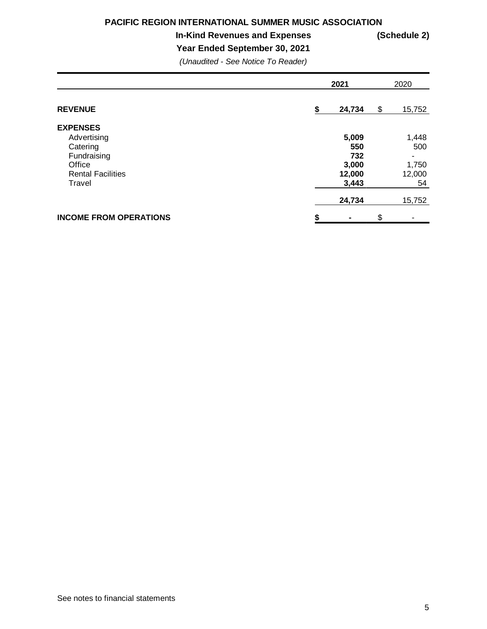### **In-Kind Revenues and Expenses (Schedule 2)**

**Year Ended September 30, 2021**

|                                                                                                           | 2021                                            |    |                                       |  |  |
|-----------------------------------------------------------------------------------------------------------|-------------------------------------------------|----|---------------------------------------|--|--|
| <b>REVENUE</b>                                                                                            | \$<br>24,734                                    | \$ | 15,752                                |  |  |
| <b>EXPENSES</b><br>Advertising<br>Catering<br>Fundraising<br>Office<br><b>Rental Facilities</b><br>Travel | 5,009<br>550<br>732<br>3,000<br>12,000<br>3,443 |    | 1,448<br>500<br>1,750<br>12,000<br>54 |  |  |
|                                                                                                           | 24,734                                          |    | 15,752                                |  |  |
| <b>INCOME FROM OPERATIONS</b>                                                                             | \$                                              | \$ |                                       |  |  |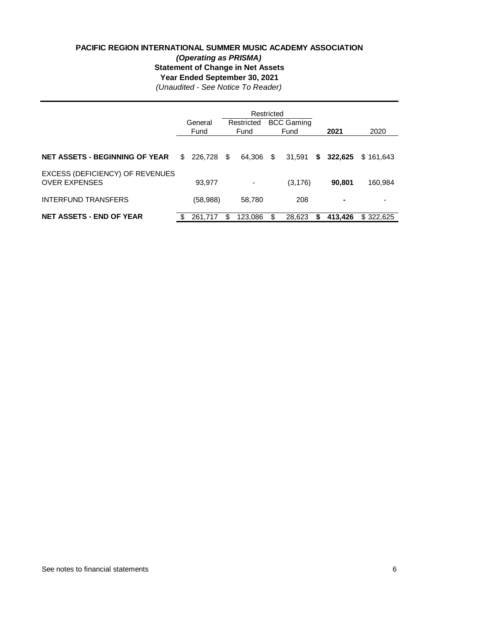### **PACIFIC REGION INTERNATIONAL SUMMER MUSIC ACADEMY ASSOCIATION (Operating as PRISMA) Statement of Change in Net Assets Year Ended September 30, 2021**

|                                                         |     | General<br>Fund |     | Restricted<br><b>BCC Gaming</b><br>Restricted<br>Fund<br>Fund |    |          | 2021 | 2020    |           |
|---------------------------------------------------------|-----|-----------------|-----|---------------------------------------------------------------|----|----------|------|---------|-----------|
| <b>NET ASSETS - BEGINNING OF YEAR</b>                   | \$. | 226,728         | S   | 64.306                                                        | \$ | 31,591   | S.   | 322.625 | \$161.643 |
| EXCESS (DEFICIENCY) OF REVENUES<br><b>OVER EXPENSES</b> |     | 93,977          |     | -                                                             |    | (3, 176) |      | 90.801  | 160,984   |
| <b>INTERFUND TRANSFERS</b>                              |     | (58, 988)       |     | 58,780                                                        |    | 208      |      |         |           |
| <b>NET ASSETS - END OF YEAR</b>                         | \$  | 261.717         | \$. | 123.086                                                       | \$ | 28.623   | S    | 413.426 | \$322,625 |